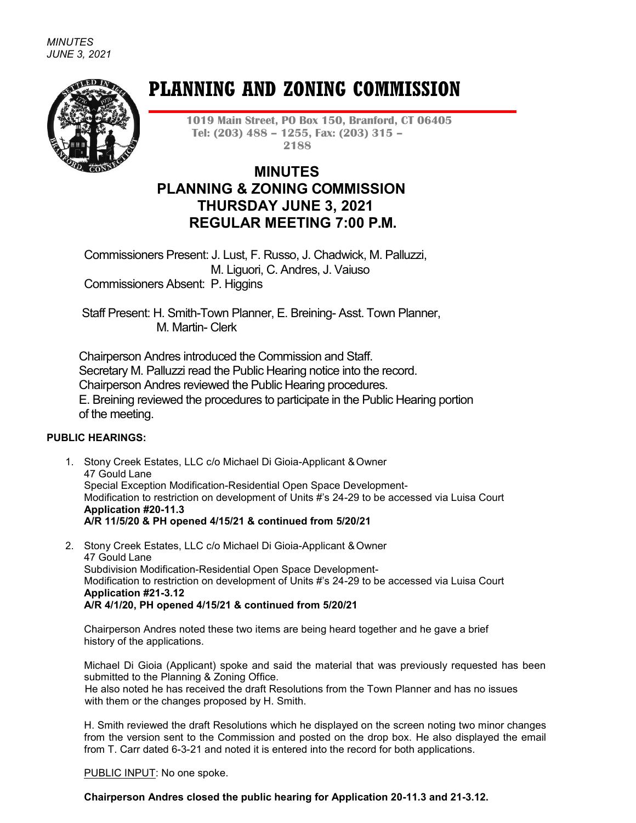

# **PLANNING AND ZONING COMMISSION**

**1019 Main Street, PO Box 150, Branford, CT 06405 Tel: (203) 488 – 1255, Fax: (203) 315 – 2188**

# **MINUTES PLANNING & ZONING COMMISSION THURSDAY JUNE 3, 2021 REGULAR MEETING 7:00 P.M.**

Commissioners Present: J. Lust, F. Russo, J. Chadwick, M. Palluzzi, M. Liguori, C. Andres, J. Vaiuso Commissioners Absent: P. Higgins

Staff Present: H. Smith-Town Planner, E. Breining- Asst. Town Planner, M. Martin- Clerk

Chairperson Andres introduced the Commission and Staff. Secretary M. Palluzzi read the Public Hearing notice into the record. Chairperson Andres reviewed the Public Hearing procedures. E. Breining reviewed the procedures to participate in the Public Hearing portion of the meeting.

## **PUBLIC HEARINGS:**

- 1. Stony Creek Estates, LLC c/o Michael Di Gioia-Applicant & Owner 47 Gould Lane Special Exception Modification-Residential Open Space Development-Modification to restriction on development of Units #'s 24-29 to be accessed via Luisa Court **Application #20-11.3 A/R 11/5/20 & PH opened 4/15/21 & continued from 5/20/21**
- 2. Stony Creek Estates, LLC c/o Michael Di Gioia-Applicant & Owner 47 Gould Lane Subdivision Modification-Residential Open Space Development-Modification to restriction on development of Units #'s 24-29 to be accessed via Luisa Court **Application #21-3.12 A/R 4/1/20, PH opened 4/15/21 & continued from 5/20/21**

Chairperson Andres noted these two items are being heard together and he gave a brief history of the applications.

Michael Di Gioia (Applicant) spoke and said the material that was previously requested has been submitted to the Planning & Zoning Office.

 He also noted he has received the draft Resolutions from the Town Planner and has no issues with them or the changes proposed by H. Smith.

H. Smith reviewed the draft Resolutions which he displayed on the screen noting two minor changes from the version sent to the Commission and posted on the drop box. He also displayed the email from T. Carr dated 6-3-21 and noted it is entered into the record for both applications.

PUBLIC INPUT: No one spoke.

**Chairperson Andres closed the public hearing for Application 20-11.3 and 21-3.12.**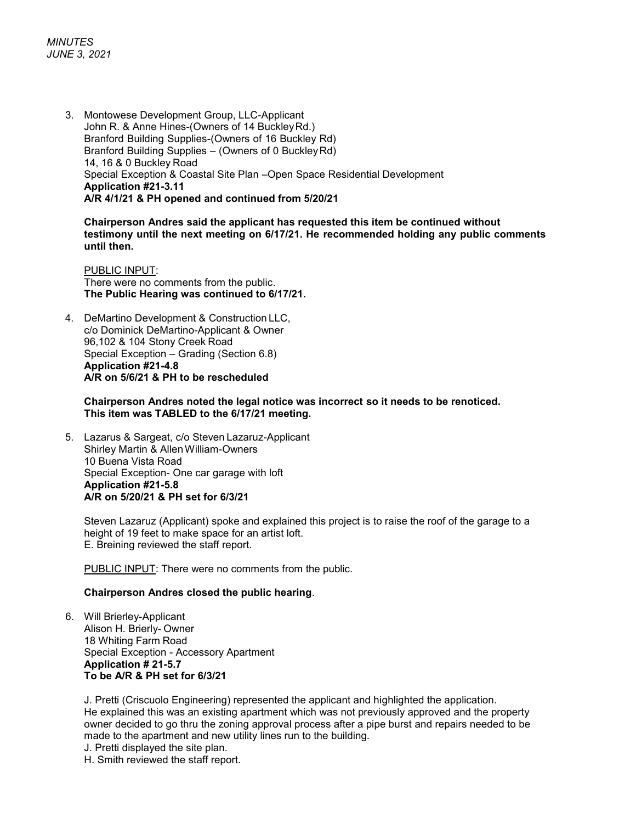3. Montowese Development Group, LLC-Applicant John R. & Anne Hines-(Owners of 14 BuckleyRd.) Branford Building Supplies-(Owners of 16 Buckley Rd) Branford Building Supplies – (Owners of 0 BuckleyRd) 14, 16 & 0 Buckley Road Special Exception & Coastal Site Plan –Open Space Residential Development **Application #21-3.11 A/R 4/1/21 & PH opened and continued from 5/20/21**

**Chairperson Andres said the applicant has requested this item be continued without testimony until the next meeting on 6/17/21. He recommended holding any public comments until then.**

PUBLIC INPUT: There were no comments from the public. **The Public Hearing was continued to 6/17/21.**

4. DeMartino Development & Construction LLC, c/o Dominick DeMartino-Applicant & Owner 96,102 & 104 Stony Creek Road Special Exception – Grading (Section 6.8) **Application #21-4.8 A/R on 5/6/21 & PH to be rescheduled** 

#### **Chairperson Andres noted the legal notice was incorrect so it needs to be renoticed. This item was TABLED to the 6/17/21 meeting.**

5. Lazarus & Sargeat, c/o Steven Lazaruz-Applicant Shirley Martin & AllenWilliam-Owners 10 Buena Vista Road Special Exception- One car garage with loft **Application #21-5.8 A/R on 5/20/21 & PH set for 6/3/21**

Steven Lazaruz (Applicant) spoke and explained this project is to raise the roof of the garage to a height of 19 feet to make space for an artist loft. E. Breining reviewed the staff report.

PUBLIC INPUT: There were no comments from the public.

#### **Chairperson Andres closed the public hearing**.

6. Will Brierley-Applicant Alison H. Brierly- Owner 18 Whiting Farm Road Special Exception - Accessory Apartment **Application # 21-5.7 To be A/R & PH set for 6/3/21**

J. Pretti (Criscuolo Engineering) represented the applicant and highlighted the application. He explained this was an existing apartment which was not previously approved and the property owner decided to go thru the zoning approval process after a pipe burst and repairs needed to be made to the apartment and new utility lines run to the building.

- J. Pretti displayed the site plan.
- H. Smith reviewed the staff report.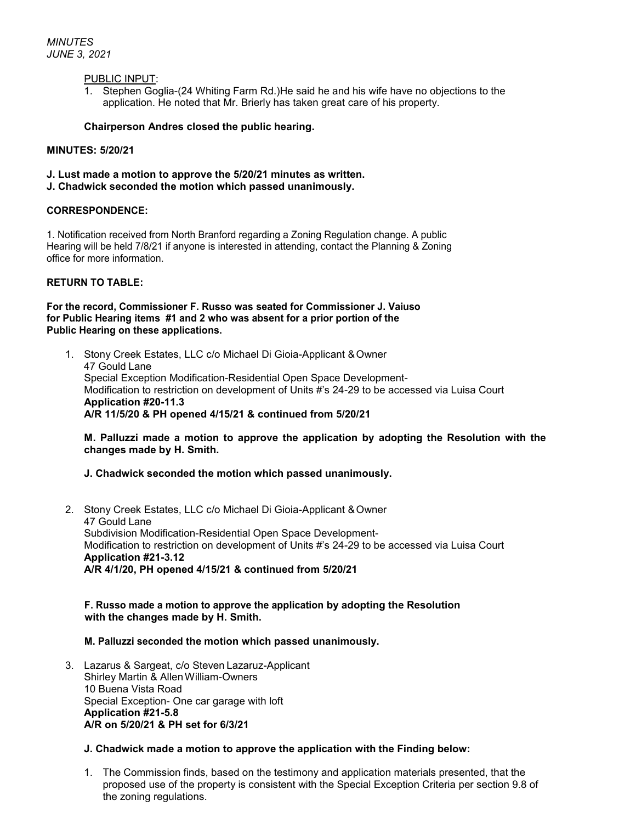#### PUBLIC INPUT:

1. Stephen Goglia-(24 Whiting Farm Rd.)He said he and his wife have no objections to the application. He noted that Mr. Brierly has taken great care of his property.

#### **Chairperson Andres closed the public hearing.**

#### **MINUTES: 5/20/21**

- **J. Lust made a motion to approve the 5/20/21 minutes as written.**
- **J. Chadwick seconded the motion which passed unanimously.**

#### **CORRESPONDENCE:**

1. Notification received from North Branford regarding a Zoning Regulation change. A public Hearing will be held 7/8/21 if anyone is interested in attending, contact the Planning & Zoning office for more information.

#### **RETURN TO TABLE:**

#### **For the record, Commissioner F. Russo was seated for Commissioner J. Vaiuso for Public Hearing items #1 and 2 who was absent for a prior portion of the Public Hearing on these applications.**

1. Stony Creek Estates, LLC c/o Michael Di Gioia-Applicant & Owner 47 Gould Lane Special Exception Modification-Residential Open Space Development-Modification to restriction on development of Units #'s 24-29 to be accessed via Luisa Court **Application #20-11.3 A/R 11/5/20 & PH opened 4/15/21 & continued from 5/20/21**

#### **M. Palluzzi made a motion to approve the application by adopting the Resolution with the changes made by H. Smith.**

#### **J. Chadwick seconded the motion which passed unanimously.**

2. Stony Creek Estates, LLC c/o Michael Di Gioia-Applicant & Owner 47 Gould Lane Subdivision Modification-Residential Open Space Development-Modification to restriction on development of Units #'s 24-29 to be accessed via Luisa Court **Application #21-3.12 A/R 4/1/20, PH opened 4/15/21 & continued from 5/20/21**

#### **F. Russo made a motion to approve the application by adopting the Resolution with the changes made by H. Smith.**

#### **M. Palluzzi seconded the motion which passed unanimously.**

3. Lazarus & Sargeat, c/o Steven Lazaruz-Applicant Shirley Martin & AllenWilliam-Owners 10 Buena Vista Road Special Exception- One car garage with loft **Application #21-5.8 A/R on 5/20/21 & PH set for 6/3/21**

#### **J. Chadwick made a motion to approve the application with the Finding below:**

1. The Commission finds, based on the testimony and application materials presented, that the proposed use of the property is consistent with the Special Exception Criteria per section 9.8 of the zoning regulations.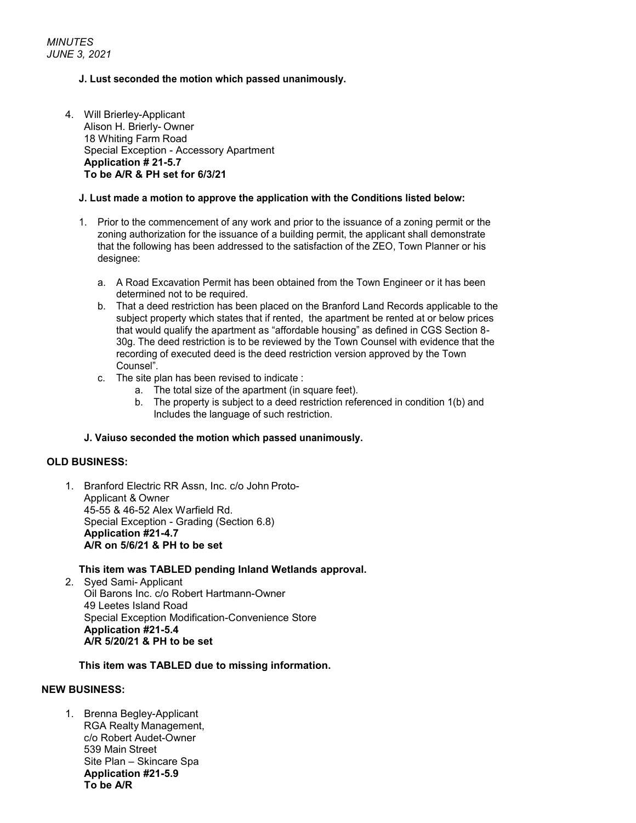#### **J. Lust seconded the motion which passed unanimously.**

4. Will Brierley-Applicant Alison H. Brierly- Owner 18 Whiting Farm Road Special Exception - Accessory Apartment **Application # 21-5.7 To be A/R & PH set for 6/3/21**

#### **J. Lust made a motion to approve the application with the Conditions listed below:**

- 1. Prior to the commencement of any work and prior to the issuance of a zoning permit or the zoning authorization for the issuance of a building permit, the applicant shall demonstrate that the following has been addressed to the satisfaction of the ZEO, Town Planner or his designee:
	- a. A Road Excavation Permit has been obtained from the Town Engineer or it has been determined not to be required.
	- b. That a deed restriction has been placed on the Branford Land Records applicable to the subject property which states that if rented, the apartment be rented at or below prices that would qualify the apartment as "affordable housing" as defined in CGS Section 8- 30g. The deed restriction is to be reviewed by the Town Counsel with evidence that the recording of executed deed is the deed restriction version approved by the Town Counsel".
	- c. The site plan has been revised to indicate :
		- a. The total size of the apartment (in square feet).
		- b. The property is subject to a deed restriction referenced in condition 1(b) and Includes the language of such restriction.

#### **J. Vaiuso seconded the motion which passed unanimously.**

#### **OLD BUSINESS:**

1. Branford Electric RR Assn, Inc. c/o John Proto-Applicant & Owner 45-55 & 46-52 Alex Warfield Rd. Special Exception - Grading (Section 6.8) **Application #21-4.7 A/R on 5/6/21 & PH to be set**

#### **This item was TABLED pending Inland Wetlands approval.**

2. Syed Sami- Applicant Oil Barons Inc. c/o Robert Hartmann-Owner 49 Leetes Island Road Special Exception Modification-Convenience Store **Application #21-5.4 A/R 5/20/21 & PH to be set**

#### **This item was TABLED due to missing information.**

#### **NEW BUSINESS:**

1. Brenna Begley-Applicant RGA Realty Management, c/o Robert Audet-Owner 539 Main Street Site Plan – Skincare Spa **Application #21-5.9 To be A/R**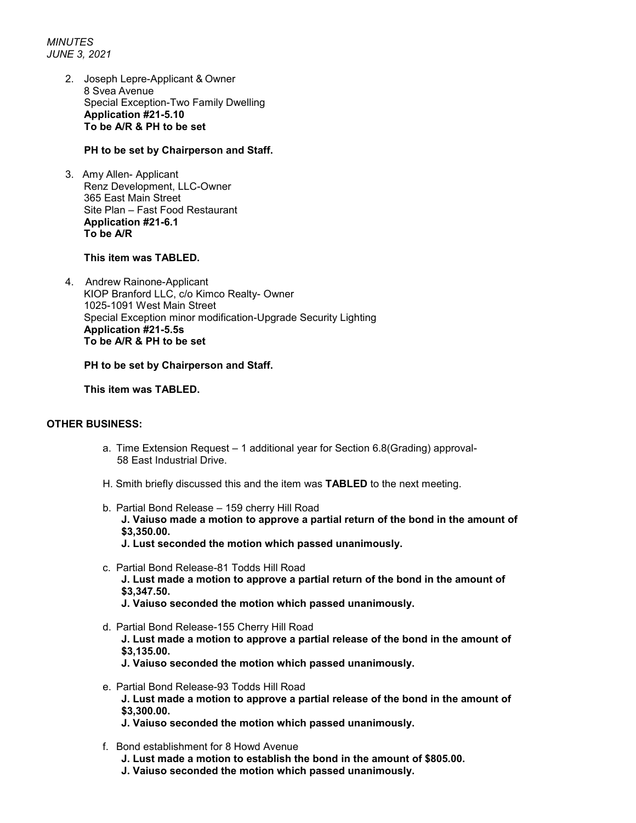*MINUTES JUNE 3, 2021*

> 2. Joseph Lepre-Applicant & Owner 8 Svea Avenue Special Exception-Two Family Dwelling **Application #21-5.10 To be A/R & PH to be set**

#### **PH to be set by Chairperson and Staff.**

3.Amy Allen- Applicant Renz Development, LLC-Owner 365 East Main Street Site Plan – Fast Food Restaurant **Application #21-6.1 To be A/R** 

#### **This item was TABLED.**

4. Andrew Rainone-Applicant KIOP Branford LLC, c/o Kimco Realty- Owner 1025-1091 West Main Street Special Exception minor modification-Upgrade Security Lighting **Application #21-5.5s To be A/R & PH to be set**

### **PH to be set by Chairperson and Staff.**

**This item was TABLED.**

#### **OTHER BUSINESS:**

- a. Time Extension Request 1 additional year for Section 6.8(Grading) approval- 58 East Industrial Drive.
- H. Smith briefly discussed this and the item was **TABLED** to the next meeting.
- b. Partial Bond Release 159 cherry Hill Road **J. Vaiuso made a motion to approve a partial return of the bond in the amount of \$3,350.00. J. Lust seconded the motion which passed unanimously.**
- c. Partial Bond Release-81 Todds Hill Road **J. Lust made a motion to approve a partial return of the bond in the amount of**
	- **\$3,347.50.**
	- **J. Vaiuso seconded the motion which passed unanimously.**
- d. Partial Bond Release-155 Cherry Hill Road **J. Lust made a motion to approve a partial release of the bond in the amount of \$3,135.00.**
	- **J. Vaiuso seconded the motion which passed unanimously.**
- e. Partial Bond Release-93 Todds Hill Road **J. Lust made a motion to approve a partial release of the bond in the amount of \$3,300.00.**
	- **J. Vaiuso seconded the motion which passed unanimously.**
- f. Bond establishment for 8 Howd Avenue
	- **J. Lust made a motion to establish the bond in the amount of \$805.00.**
	- **J. Vaiuso seconded the motion which passed unanimously.**